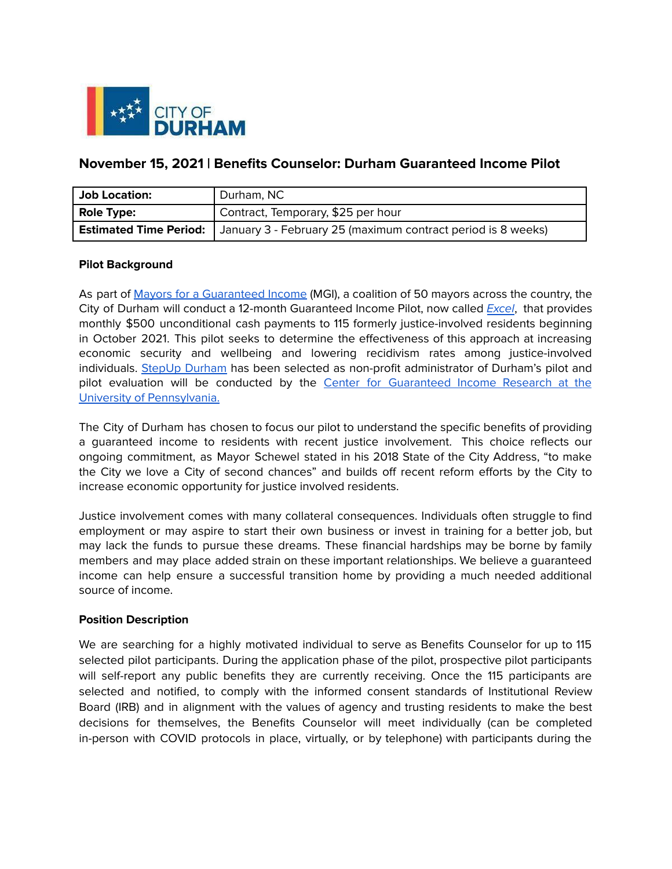

# **November 15, 2021 | Benefits Counselor: Durham Guaranteed Income Pilot**

| <b>Job Location:</b>          | Durham, NC                                                   |
|-------------------------------|--------------------------------------------------------------|
| <b>Role Type:</b>             | Contract, Temporary, \$25 per hour                           |
| <b>Estimated Time Period:</b> | January 3 - February 25 (maximum contract period is 8 weeks) |

#### **Pilot Background**

As part of Mayors for a [Guaranteed](https://www.mayorsforagi.org/) Income (MGI), a coalition of 50 mayors across the country, the City of Durham will conduct a 12-month Guaranteed Income Pilot, now called [Excel](http://www.stepupdurham.org/excel), that provides monthly \$500 unconditional cash payments to 115 formerly justice-involved residents beginning in October 2021. This pilot seeks to determine the effectiveness of this approach at increasing economic security and wellbeing and lowering recidivism rates among justice-involved individuals. StepUp [Durham](http://www.stepupdurham.org) has been selected as non-profit administrator of Durham's pilot and pilot evaluation will be conducted by the Center for [Guaranteed](https://www.penncgir.org/) Income Research at the University of [Pennsylvania.](https://www.penncgir.org/)

The City of Durham has chosen to focus our pilot to understand the specific benefits of providing a guaranteed income to residents with recent justice involvement. This choice reflects our ongoing commitment, as Mayor Schewel stated in his 2018 State of the City Address, "to make the City we love a City of second chances" and builds off recent reform efforts by the City to increase economic opportunity for justice involved residents.

Justice involvement comes with many collateral consequences. Individuals often struggle to find employment or may aspire to start their own business or invest in training for a better job, but may lack the funds to pursue these dreams. These financial hardships may be borne by family members and may place added strain on these important relationships. We believe a guaranteed income can help ensure a successful transition home by providing a much needed additional source of income.

#### **Position Description**

We are searching for a highly motivated individual to serve as Benefits Counselor for up to 115 selected pilot participants. During the application phase of the pilot, prospective pilot participants will self-report any public benefits they are currently receiving. Once the 115 participants are selected and notified, to comply with the informed consent standards of Institutional Review Board (IRB) and in alignment with the values of agency and trusting residents to make the best decisions for themselves, the Benefits Counselor will meet individually (can be completed in-person with COVID protocols in place, virtually, or by telephone) with participants during the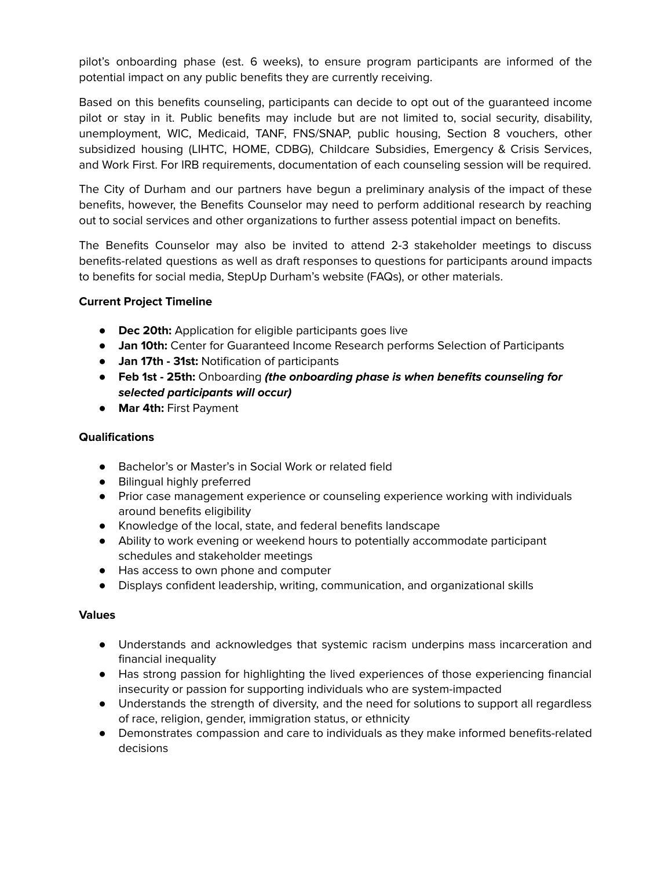pilot's onboarding phase (est. 6 weeks), to ensure program participants are informed of the potential impact on any public benefits they are currently receiving.

Based on this benefits counseling, participants can decide to opt out of the guaranteed income pilot or stay in it. Public benefits may include but are not limited to, social security, disability, unemployment, WIC, Medicaid, TANF, FNS/SNAP, public housing, Section 8 vouchers, other subsidized housing (LIHTC, HOME, CDBG), Childcare Subsidies, Emergency & Crisis Services, and Work First. For IRB requirements, documentation of each counseling session will be required.

The City of Durham and our partners have begun a preliminary analysis of the impact of these benefits, however, the Benefits Counselor may need to perform additional research by reaching out to social services and other organizations to further assess potential impact on benefits.

The Benefits Counselor may also be invited to attend 2-3 stakeholder meetings to discuss benefits-related questions as well as draft responses to questions for participants around impacts to benefits for social media, StepUp Durham's website (FAQs), or other materials.

### **Current Project Timeline**

- **● Dec 20th:** Application for eligible participants goes live
- **● Jan 10th:** Center for Guaranteed Income Research performs Selection of Participants
- **● Jan 17th - 31st:** Notification of participants
- **● Feb 1st - 25th:** Onboarding **(the onboarding phase is when benefits counseling for selected participants will occur)**
- **● Mar 4th:** First Payment

## **Qualifications**

- Bachelor's or Master's in Social Work or related field
- Bilingual highly preferred
- Prior case management experience or counseling experience working with individuals around benefits eligibility
- Knowledge of the local, state, and federal benefits landscape
- Ability to work evening or weekend hours to potentially accommodate participant schedules and stakeholder meetings
- Has access to own phone and computer
- Displays confident leadership, writing, communication, and organizational skills

## **Values**

- Understands and acknowledges that systemic racism underpins mass incarceration and financial inequality
- Has strong passion for highlighting the lived experiences of those experiencing financial insecurity or passion for supporting individuals who are system-impacted
- Understands the strength of diversity, and the need for solutions to support all regardless of race, religion, gender, immigration status, or ethnicity
- Demonstrates compassion and care to individuals as they make informed benefits-related decisions